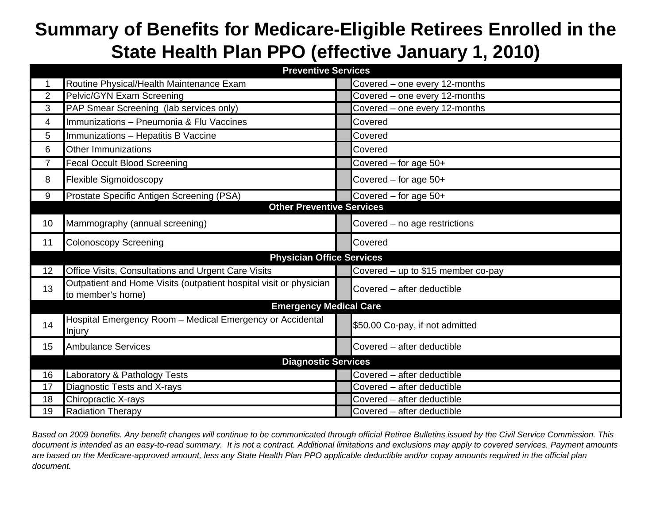## **Summary of Benefits for Medicare-Eligible Retirees Enrolled in the State Health Plan PPO (effective January 1, 2010)**

| <b>Preventive Services</b>    |                                                                                         |  |                                    |  |  |  |  |
|-------------------------------|-----------------------------------------------------------------------------------------|--|------------------------------------|--|--|--|--|
|                               | Routine Physical/Health Maintenance Exam                                                |  | Covered - one every 12-months      |  |  |  |  |
| $\overline{2}$                | Pelvic/GYN Exam Screening                                                               |  | Covered - one every 12-months      |  |  |  |  |
| 3                             | PAP Smear Screening (lab services only)                                                 |  | Covered - one every 12-months      |  |  |  |  |
| 4                             | Immunizations - Pneumonia & Flu Vaccines                                                |  | Covered                            |  |  |  |  |
| 5                             | Immunizations - Hepatitis B Vaccine                                                     |  | Covered                            |  |  |  |  |
| 6                             | <b>Other Immunizations</b>                                                              |  | Covered                            |  |  |  |  |
| $\overline{7}$                | <b>Fecal Occult Blood Screening</b>                                                     |  | Covered $-$ for age $50+$          |  |  |  |  |
| 8                             | <b>Flexible Sigmoidoscopy</b>                                                           |  | Covered - for age 50+              |  |  |  |  |
| 9                             | Prostate Specific Antigen Screening (PSA)                                               |  | Covered - for age 50+              |  |  |  |  |
|                               | <b>Other Preventive Services</b>                                                        |  |                                    |  |  |  |  |
| 10                            | Mammography (annual screening)                                                          |  | Covered - no age restrictions      |  |  |  |  |
| 11                            | <b>Colonoscopy Screening</b>                                                            |  | Covered                            |  |  |  |  |
|                               | <b>Physician Office Services</b>                                                        |  |                                    |  |  |  |  |
| 12                            | Office Visits, Consultations and Urgent Care Visits                                     |  | Covered - up to \$15 member co-pay |  |  |  |  |
| 13                            | Outpatient and Home Visits (outpatient hospital visit or physician<br>to member's home) |  | Covered - after deductible         |  |  |  |  |
| <b>Emergency Medical Care</b> |                                                                                         |  |                                    |  |  |  |  |
| 14                            | Hospital Emergency Room - Medical Emergency or Accidental<br>Injury                     |  | \$50.00 Co-pay, if not admitted    |  |  |  |  |
| 15                            | <b>Ambulance Services</b>                                                               |  | Covered - after deductible         |  |  |  |  |
|                               | <b>Diagnostic Services</b>                                                              |  |                                    |  |  |  |  |
| 16                            | Laboratory & Pathology Tests                                                            |  | Covered - after deductible         |  |  |  |  |
| 17                            | Diagnostic Tests and X-rays                                                             |  | Covered - after deductible         |  |  |  |  |
| 18                            | Chiropractic X-rays                                                                     |  | Covered - after deductible         |  |  |  |  |
| 19                            | <b>Radiation Therapy</b>                                                                |  | Covered - after deductible         |  |  |  |  |

*Based on 2009 benefits. Any benefit changes will continue to be communicated through official Retiree Bulletins issued by the Civil Service Commission. This document is intended as an easy-to-read summary. It is not a contract. Additional limitations and exclusions may apply to covered services. Payment amounts are based on the Medicare-approved amount, less any State Health Plan PPO applicable deductible and/or copay amounts required in the official plan document.*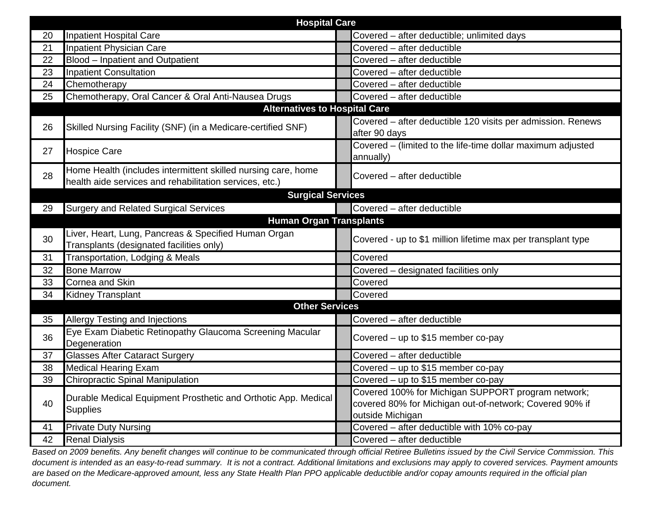| <b>Hospital Care</b> |                                                                                                                          |  |                                                                                                                                   |  |  |  |  |
|----------------------|--------------------------------------------------------------------------------------------------------------------------|--|-----------------------------------------------------------------------------------------------------------------------------------|--|--|--|--|
| 20                   | <b>Inpatient Hospital Care</b>                                                                                           |  | Covered - after deductible; unlimited days                                                                                        |  |  |  |  |
| 21                   | <b>Inpatient Physician Care</b>                                                                                          |  | Covered - after deductible                                                                                                        |  |  |  |  |
| 22                   | Blood - Inpatient and Outpatient                                                                                         |  | Covered - after deductible                                                                                                        |  |  |  |  |
| 23                   | Inpatient Consultation                                                                                                   |  | Covered - after deductible                                                                                                        |  |  |  |  |
| 24                   | Chemotherapy                                                                                                             |  | Covered - after deductible                                                                                                        |  |  |  |  |
| 25                   | Chemotherapy, Oral Cancer & Oral Anti-Nausea Drugs                                                                       |  | Covered - after deductible                                                                                                        |  |  |  |  |
|                      | <b>Alternatives to Hospital Care</b>                                                                                     |  |                                                                                                                                   |  |  |  |  |
| 26                   | Skilled Nursing Facility (SNF) (in a Medicare-certified SNF)                                                             |  | Covered - after deductible 120 visits per admission. Renews<br>after 90 days                                                      |  |  |  |  |
| 27                   | <b>Hospice Care</b>                                                                                                      |  | Covered - (limited to the life-time dollar maximum adjusted<br>annually)                                                          |  |  |  |  |
| 28                   | Home Health (includes intermittent skilled nursing care, home<br>health aide services and rehabilitation services, etc.) |  | Covered - after deductible                                                                                                        |  |  |  |  |
|                      | <b>Surgical Services</b>                                                                                                 |  |                                                                                                                                   |  |  |  |  |
| 29                   | <b>Surgery and Related Surgical Services</b>                                                                             |  | Covered - after deductible                                                                                                        |  |  |  |  |
|                      | <b>Human Organ Transplants</b>                                                                                           |  |                                                                                                                                   |  |  |  |  |
| 30                   | Liver, Heart, Lung, Pancreas & Specified Human Organ<br>Transplants (designated facilities only)                         |  | Covered - up to \$1 million lifetime max per transplant type                                                                      |  |  |  |  |
| 31                   | Transportation, Lodging & Meals                                                                                          |  | Covered                                                                                                                           |  |  |  |  |
| 32                   | <b>Bone Marrow</b>                                                                                                       |  | Covered - designated facilities only                                                                                              |  |  |  |  |
| 33                   | Cornea and Skin                                                                                                          |  | Covered                                                                                                                           |  |  |  |  |
| 34                   | <b>Kidney Transplant</b>                                                                                                 |  | Covered                                                                                                                           |  |  |  |  |
|                      | <b>Other Services</b>                                                                                                    |  |                                                                                                                                   |  |  |  |  |
| 35                   | Allergy Testing and Injections                                                                                           |  | Covered - after deductible                                                                                                        |  |  |  |  |
| 36                   | Eye Exam Diabetic Retinopathy Glaucoma Screening Macular<br>Degeneration                                                 |  | Covered – up to \$15 member co-pay                                                                                                |  |  |  |  |
| 37                   | <b>Glasses After Cataract Surgery</b>                                                                                    |  | Covered - after deductible                                                                                                        |  |  |  |  |
| 38                   | <b>Medical Hearing Exam</b>                                                                                              |  | Covered - up to \$15 member co-pay                                                                                                |  |  |  |  |
| 39                   | <b>Chiropractic Spinal Manipulation</b>                                                                                  |  | Covered - up to \$15 member co-pay                                                                                                |  |  |  |  |
| 40                   | Durable Medical Equipment Prosthetic and Orthotic App. Medical<br><b>Supplies</b>                                        |  | Covered 100% for Michigan SUPPORT program network;<br>covered 80% for Michigan out-of-network; Covered 90% if<br>outside Michigan |  |  |  |  |
| 41                   | <b>Private Duty Nursing</b>                                                                                              |  | Covered - after deductible with 10% co-pay                                                                                        |  |  |  |  |
| 42                   | <b>Renal Dialysis</b>                                                                                                    |  | Covered - after deductible                                                                                                        |  |  |  |  |

*Based on 2009 benefits. Any benefit changes will continue to be communicated through official Retiree Bulletins issued by the Civil Service Commission. This document is intended as an easy-to-read summary. It is not a contract. Additional limitations and exclusions may apply to covered services. Payment amounts are based on the Medicare-approved amount, less any State Health Plan PPO applicable deductible and/or copay amounts required in the official plan document.*